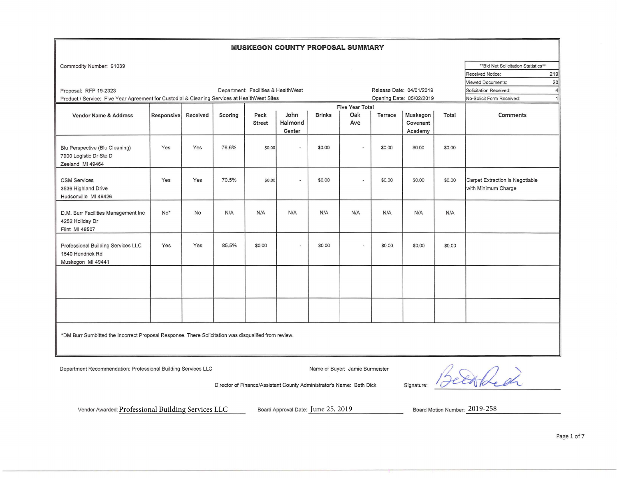## **MUSKEGON COUNTY PROPOSAL SUMMARY**

| Commodity Number: 91039                                                                             |            |           |         |                                     |         |               |                        |         |                          |        | ** Bid Net Solicitation Statistics** |
|-----------------------------------------------------------------------------------------------------|------------|-----------|---------|-------------------------------------|---------|---------------|------------------------|---------|--------------------------|--------|--------------------------------------|
|                                                                                                     |            |           |         |                                     |         |               |                        |         |                          |        | 219<br><b>Received Notice:</b>       |
|                                                                                                     |            |           |         |                                     |         |               |                        |         |                          |        | Viewed Documents:<br>20              |
| Proposal: RFP 19-2323                                                                               |            |           |         | Department: Facilities & HealthWest |         |               |                        |         | Release Date: 04/01/2019 |        | Solicitation Received:<br>4          |
| Product / Service: Five Year Agreement for Custodial & Cleaning Services at HealthWest Sites        |            |           |         |                                     |         |               |                        |         | Opening Date: 05/02/2019 |        | No-Solicit Form Received:<br>1       |
|                                                                                                     |            |           |         |                                     |         |               | <b>Five Year Total</b> |         |                          |        |                                      |
| <b>Vendor Name &amp; Address</b>                                                                    | Responsive | Received  | Scoring | Peck                                | John    | <b>Brinks</b> | Oak                    | Terrace | Muskegon                 | Total  | Comments                             |
|                                                                                                     |            |           |         | <b>Street</b>                       | Halmond |               | Ave                    |         | Covenant                 |        |                                      |
|                                                                                                     |            |           |         |                                     | Center  |               |                        |         | Academy                  |        |                                      |
| Blu Perspective (Blu Cleaning)                                                                      | Yes        | Yes       | 76.6%   | \$0.00                              | $\sim$  | \$0.00        | ٠                      | \$0.00  | \$0.00                   | \$0.00 |                                      |
| 7900 Logistic Dr Ste D<br>Zeeland MI 49464                                                          |            |           |         |                                     |         |               |                        |         |                          |        |                                      |
|                                                                                                     |            |           |         |                                     |         |               |                        |         |                          |        |                                      |
| <b>CSM Services</b>                                                                                 | Yes        | Yes       | 70.5%   | \$0.00                              | ×       | \$0.00        | $\sim$                 | \$0.00  | \$0.00                   | \$0.00 | Carpet Extraction is Negotiable      |
| 3536 Highland Drive                                                                                 |            |           |         |                                     |         |               |                        |         |                          |        | with Minimum Charge                  |
| Hudsonville MI 49426                                                                                |            |           |         |                                     |         |               |                        |         |                          |        |                                      |
| D.M. Burr Facilities Management Inc                                                                 | No*        | <b>No</b> | N/A     | N/A                                 | N/A     | N/A           | N/A                    | N/A     | N/A                      | N/A    |                                      |
| 4252 Holiday Dr                                                                                     |            |           |         |                                     |         |               |                        |         |                          |        |                                      |
| Flint MI 48507                                                                                      |            |           |         |                                     |         |               |                        |         |                          |        |                                      |
|                                                                                                     |            |           |         |                                     |         |               |                        |         |                          |        |                                      |
| Professional Building Services LLC                                                                  | Yes        | Yes       | 85.5%   | \$0.00                              | i.      | \$0.00        |                        | \$0.00  | \$0.00                   | \$0.00 |                                      |
| 1540 Hendrick Rd                                                                                    |            |           |         |                                     |         |               |                        |         |                          |        |                                      |
| Muskegon MI 49441                                                                                   |            |           |         |                                     |         |               |                        |         |                          |        |                                      |
|                                                                                                     |            |           |         |                                     |         |               |                        |         |                          |        |                                      |
|                                                                                                     |            |           |         |                                     |         |               |                        |         |                          |        |                                      |
|                                                                                                     |            |           |         |                                     |         |               |                        |         |                          |        |                                      |
|                                                                                                     |            |           |         |                                     |         |               |                        |         |                          |        |                                      |
|                                                                                                     |            |           |         |                                     |         |               |                        |         |                          |        |                                      |
|                                                                                                     |            |           |         |                                     |         |               |                        |         |                          |        |                                      |
|                                                                                                     |            |           |         |                                     |         |               |                        |         |                          |        |                                      |
| *DM Burr Sumbitted the Incorrect Proposal Response. There Solicitation was disqualifed from review. |            |           |         |                                     |         |               |                        |         |                          |        |                                      |

Department Recommendation: Professional Building Services LLC Name of Buyer: Jamie Burmeister

thed

Director of Finance/Assistant County Administrator's Name: Beth Dick Signature:

Vendor Awarded:  $\underline{Professoral Building Services LLC}$ Board Approval Date:  $\underline{June~25,2019}$ Board Motion Number:  $\underline{2019\text{-}258}$ 

Board Approval Date: June 25, 2019 Board Motion Number: 2019-258

Page 1 of 7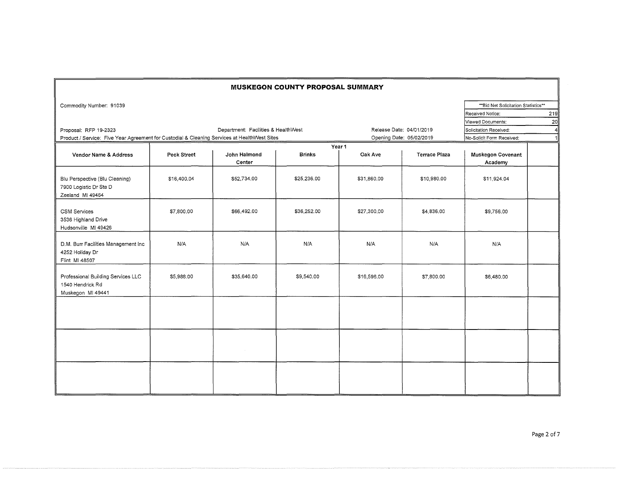|                                                                                              |             |                                     | <b>MUSKEGON COUNTY PROPOSAL SUMMARY</b> |                          |                          |                                      |     |
|----------------------------------------------------------------------------------------------|-------------|-------------------------------------|-----------------------------------------|--------------------------|--------------------------|--------------------------------------|-----|
| Commodity Number: 91039                                                                      |             |                                     |                                         |                          |                          | ** Bid Net Solicitation Statistics** |     |
|                                                                                              |             |                                     |                                         |                          |                          | Received Notice:                     | 219 |
|                                                                                              |             |                                     |                                         |                          |                          | Viewed Documents:                    | 20  |
| Proposal: RFP 19-2323                                                                        |             | Department: Facilities & HealthWest |                                         | Release Date: 04/01/2019 | Solicitation Received:   | $\overline{4}$                       |     |
| Product / Service: Five Year Agreement for Custodial & Cleaning Services at HealthWest Sites |             |                                     |                                         |                          | Opening Date: 05/02/2019 | No-Solicit Form Received:            |     |
|                                                                                              |             |                                     |                                         | Year 1                   |                          |                                      |     |
| Vendor Name & Address                                                                        | Peck Street | John Halmond<br>Center              | <b>Brinks</b>                           | Oak Ave                  | <b>Terrace Plaza</b>     | <b>Muskegon Covenant</b><br>Academy  |     |
| Blu Perspective (Blu Cleaning)<br>7900 Logistic Dr Ste D<br>Zeeland MI 49464                 | \$16,400.04 | \$52,734.00                         | \$25,236.00                             | \$31,860,00              | \$10,980.00              | \$11,924.04                          |     |
| <b>CSM Services</b><br>3536 Highland Drive<br>Hudsonville MI 49426                           | \$7,800.00  | \$66,492.00                         | \$36,252.00                             | \$27,300.00              | \$4,836.00               | \$9,756.00                           |     |
| D.M. Burr Facilities Management Inc<br>4252 Holiday Dr<br>Flint MI 48507                     | N/A         | N/A                                 | N/A                                     | N/A                      | N/A                      | N/A                                  |     |
| Professional Building Services LLC<br>1540 Hendrick Rd<br>Muskegon MI 49441                  | \$5,988.00  | \$35,640.00                         | \$9,540.00                              | \$16,596.00              | \$7,800.00               | \$6,480.00                           |     |
|                                                                                              |             |                                     |                                         |                          |                          |                                      |     |
|                                                                                              |             |                                     |                                         |                          |                          |                                      |     |
|                                                                                              |             |                                     |                                         |                          |                          |                                      |     |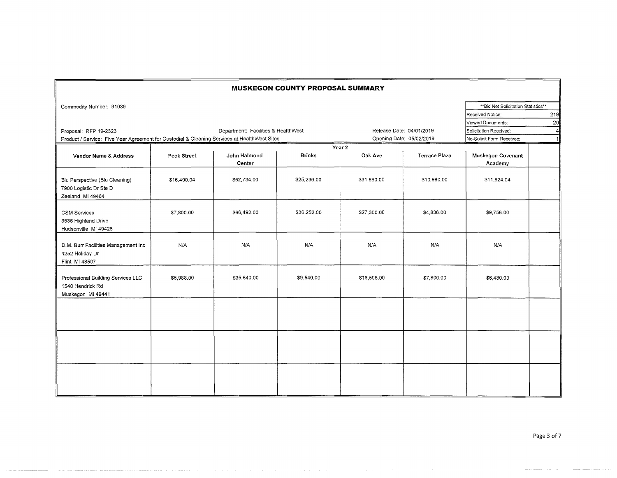|                                                                                              |             |                                     | <b>MUSKEGON COUNTY PROPOSAL SUMMARY</b> |             |                          |                                      |             |  |  |
|----------------------------------------------------------------------------------------------|-------------|-------------------------------------|-----------------------------------------|-------------|--------------------------|--------------------------------------|-------------|--|--|
| Commodity Number: 91039                                                                      |             |                                     |                                         |             |                          | ** Bid Net Solicitation Statistics** |             |  |  |
|                                                                                              |             |                                     |                                         |             |                          | Received Notice:                     | 219         |  |  |
|                                                                                              |             |                                     |                                         |             |                          | Viewed Documents:                    | 20          |  |  |
| Proposal: RFP 19-2323                                                                        |             | Department: Facilities & HealthWest | Release Date: 04/01/2019                |             | Solicitation Received:   | 4                                    |             |  |  |
| Product / Service: Five Year Agreement for Custodial & Cleaning Services at HealthWest Sites |             |                                     |                                         |             | Opening Date: 05/02/2019 | No-Solicit Form Received:            | $\mathbf 1$ |  |  |
| Year 2                                                                                       |             |                                     |                                         |             |                          |                                      |             |  |  |
| Vendor Name & Address                                                                        | Peck Street | John Halmond<br>Center              | <b>Brinks</b>                           | Oak Ave     | <b>Terrace Plaza</b>     | <b>Muskegon Covenant</b><br>Academy  |             |  |  |
| Blu Perspective (Blu Cleaning)<br>7900 Logistic Dr Ste D<br>Zeeland MI 49464                 | \$16,400.04 | \$52,734.00                         | \$25,236.00                             | \$31,860.00 | \$10,980.00              | \$11,924.04                          |             |  |  |
| <b>CSM Services</b><br>3536 Highland Drive<br>Hudsonville MI 49426                           | \$7,800.00  | \$66,492.00                         | \$36,252.00                             | \$27,300.00 | \$4,836.00               | \$9,756.00                           |             |  |  |
| D.M. Burr Facilities Management Inc<br>4252 Holiday Dr<br>Flint MI 48507                     | N/A         | N/A                                 | N/A                                     | N/A         | N/A                      | N/A                                  |             |  |  |
| Professional Building Services LLC<br>1540 Hendrick Rd<br>Muskegon MI 49441                  | \$5,988.00  | \$35,640.00                         | \$9,540.00                              | \$16,596.00 | \$7,800.00               | \$6,480.00                           |             |  |  |
|                                                                                              |             |                                     |                                         |             |                          |                                      |             |  |  |
|                                                                                              |             |                                     |                                         |             |                          |                                      |             |  |  |
|                                                                                              |             |                                     |                                         |             |                          |                                      |             |  |  |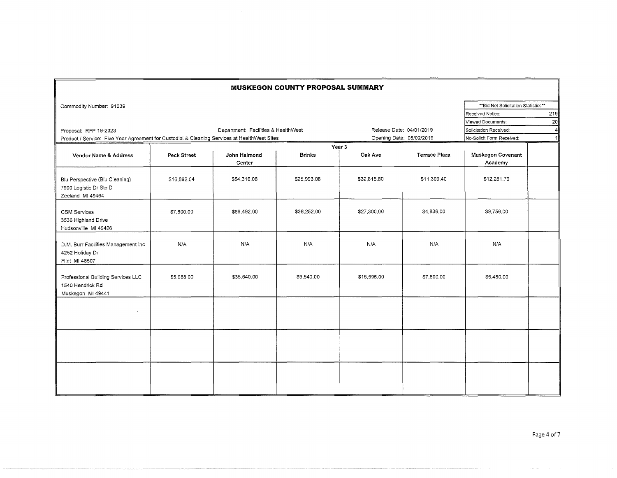|                                                                                              |             |                                     | <b>MUSKEGON COUNTY PROPOSAL SUMMARY</b> |                          |                          |                                      |     |
|----------------------------------------------------------------------------------------------|-------------|-------------------------------------|-----------------------------------------|--------------------------|--------------------------|--------------------------------------|-----|
| Commodity Number: 91039                                                                      |             |                                     |                                         |                          |                          | ** Bid Net Solicitation Statistics** |     |
|                                                                                              |             |                                     |                                         |                          |                          | Received Notice:                     | 219 |
|                                                                                              |             |                                     |                                         |                          |                          | Viewed Documents:                    | 20  |
| Proposal: RFP 19-2323                                                                        |             | Department: Facilities & HealthWest |                                         | Release Date: 04/01/2019 | Solicitation Received:   |                                      |     |
| Product / Service: Five Year Agreement for Custodial & Cleaning Services at HealthWest Sites |             |                                     |                                         |                          | Opening Date: 05/02/2019 | No-Solicit Form Received:            | 1   |
|                                                                                              |             |                                     |                                         | Year 3                   |                          |                                      |     |
| Vendor Name & Address                                                                        | Peck Street | John Halmond<br>Center              | <b>Brinks</b>                           | Oak Ave                  | <b>Terrace Plaza</b>     | Muskegon Covenant<br>Academy         |     |
| Blu Perspective (Blu Cleaning)<br>7900 Logistic Dr Ste D<br>Zeeland MI 49464                 | \$16,892.04 | \$54,316.08                         | \$25,993,08                             | \$32,815.80              | \$11,309.40              | \$12,281.76                          |     |
| <b>CSM Services</b><br>3536 Highland Drive<br>Hudsonville MI 49426                           | \$7,800.00  | \$66,492.00                         | \$36,252.00                             | \$27,300.00              | \$4,836.00               | \$9,756.00                           |     |
| D.M. Burr Facilities Management Inc<br>4252 Holiday Dr<br>Flint MI 48507                     | N/A         | N/A                                 | N/A                                     | N/A                      | N/A                      | N/A                                  |     |
| Professional Building Services LLC<br>1540 Hendrick Rd<br>Muskegon MI 49441                  | \$5,988.00  | \$35,640.00                         | \$9,540.00                              | \$16,596.00              | \$7,800.00               | \$6,480.00                           |     |
| $\sim$                                                                                       |             |                                     |                                         |                          |                          |                                      |     |
|                                                                                              |             |                                     |                                         |                          |                          |                                      |     |
|                                                                                              |             |                                     |                                         |                          |                          |                                      |     |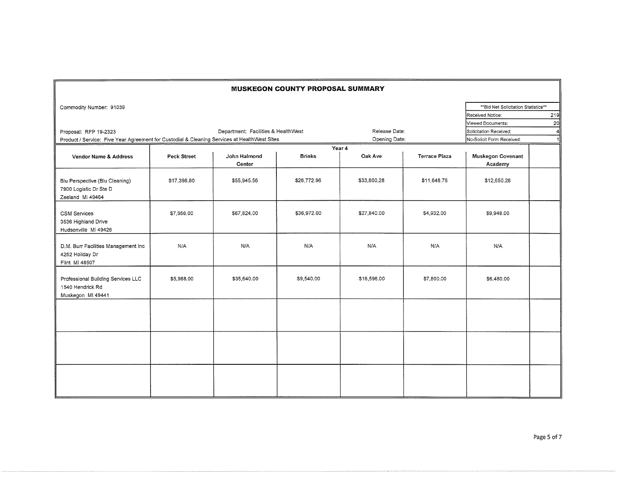| <b>MUSKEGON COUNTY PROPOSAL SUMMARY</b>                                                      |                    |                                     |               |               |                      |                                      |     |  |  |
|----------------------------------------------------------------------------------------------|--------------------|-------------------------------------|---------------|---------------|----------------------|--------------------------------------|-----|--|--|
| Commodity Number: 91039                                                                      |                    |                                     |               |               |                      | ** Bid Net Solicitation Statistics** |     |  |  |
|                                                                                              |                    |                                     |               |               |                      | Received Notice:                     | 219 |  |  |
|                                                                                              |                    |                                     |               |               |                      | Viewed Documents:                    | 20  |  |  |
| Proposal: RFP 19-2323                                                                        |                    | Department: Facilities & HealthWest |               | Release Date: |                      | Solicitation Received:               | 41  |  |  |
| Product / Service: Five Year Agreement for Custodial & Cleaning Services at HealthWest Sites |                    |                                     |               | Opening Date: |                      | No-Solicit Form Received:            | 1   |  |  |
|                                                                                              |                    |                                     |               | Year 4        |                      |                                      |     |  |  |
| Vendor Name & Address                                                                        | <b>Peck Street</b> | John Halmond<br>Center              | <b>Brinks</b> | Oak Ave       | <b>Terrace Plaza</b> | <b>Muskegon Covenant</b><br>Academy  |     |  |  |
| Blu Perspective (Blu Cleaning)<br>7900 Logistic Dr Ste D<br>Zeeland MI 49464                 | \$17,398.80        | \$55,945.56                         | \$26,772.96   | \$33,800.28   | \$11,648.76          | \$12,650.28                          |     |  |  |
| <b>CSM Services</b><br>3536 Highland Drive<br>Hudsonville MI 49426                           | \$7,956.00         | \$67,824.00                         | \$36,972.00   | \$27,840.00   | \$4,932.00           | \$9,948.00                           |     |  |  |
| D.M. Burr Facilities Management Inc<br>4252 Holiday Dr<br>Flint MI 48507                     | N/A                | N/A                                 | N/A           | N/A           | N/A                  | N/A                                  |     |  |  |
| Professional Building Services LLC<br>1540 Hendrick Rd<br>Muskegon MI 49441                  | \$5,988.00         | \$35,640.00                         | \$9,540.00    | \$16,596.00   | \$7,800.00           | \$6,480.00                           |     |  |  |
|                                                                                              |                    |                                     |               |               |                      |                                      |     |  |  |
|                                                                                              |                    |                                     |               |               |                      |                                      |     |  |  |
|                                                                                              |                    |                                     |               |               |                      |                                      |     |  |  |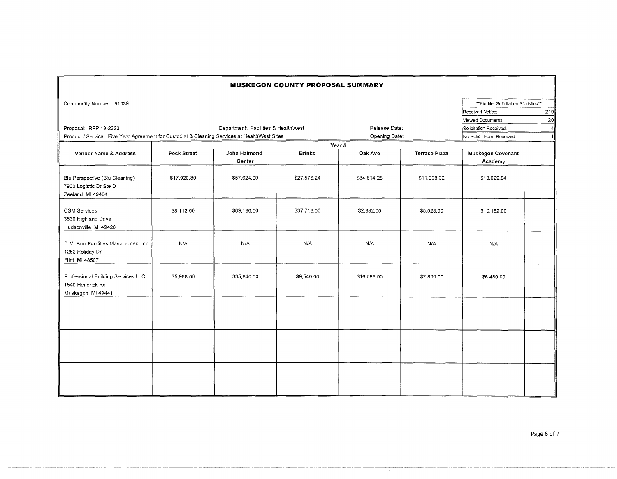| <b>MUSKEGON COUNTY PROPOSAL SUMMARY</b>                                                      |             |                                     |               |               |                        |                                    |              |  |
|----------------------------------------------------------------------------------------------|-------------|-------------------------------------|---------------|---------------|------------------------|------------------------------------|--------------|--|
| Commodity Number: 91039                                                                      |             |                                     |               |               |                        | "Bid Net Solicitation Statistics"* |              |  |
|                                                                                              |             |                                     |               |               |                        | Received Notice:                   | 219          |  |
|                                                                                              |             |                                     |               |               |                        | Viewed Documents:                  | 20           |  |
| Proposal: RFP 19-2323                                                                        |             | Department: Facilities & HealthWest | Release Date: |               | Solicitation Received: | $\overline{4}$                     |              |  |
| Product / Service: Five Year Agreement for Custodial & Cleaning Services at HealthWest Sites |             |                                     |               | Opening Date: |                        | No-Solicit Form Received:          | $\mathbf{1}$ |  |
|                                                                                              |             |                                     |               | Year 5        |                        |                                    |              |  |
| Vendor Name & Address                                                                        | Peck Street | John Halmond<br>Center              | <b>Brinks</b> | Oak Ave       | <b>Terrace Plaza</b>   | Muskegon Covenant<br>Academy       |              |  |
| Blu Perspective (Blu Cleaning)<br>7900 Logistic Dr Ste D<br>Zeeland MI 49464                 | \$17,920.80 | \$57,624.00                         | \$27,576.24   | \$34,814.28   | \$11,998.32            | \$13,029.84                        |              |  |
| <b>CSM Services</b><br>3536 Highland Drive<br>Hudsonville MI 49426                           | \$8,112.00  | \$69,180.00                         | \$37,716.00   | \$2,832.00    | \$5,028.00             | \$10,152.00                        |              |  |
| D.M. Burr Facilities Management Inc<br>4252 Holiday Dr<br>Flint MI 48507                     | N/A         | N/A                                 | N/A           | N/A           | N/A                    | N/A                                |              |  |
| Professional Building Services LLC<br>1540 Hendrick Rd<br>Muskegon MI 49441                  | \$5,988.00  | \$35,640.00                         | \$9,540.00    | \$16,596.00   | \$7,800.00             | \$6,480.00                         |              |  |
|                                                                                              |             |                                     |               |               |                        |                                    |              |  |
|                                                                                              |             |                                     |               |               |                        |                                    |              |  |
|                                                                                              |             |                                     |               |               |                        |                                    |              |  |